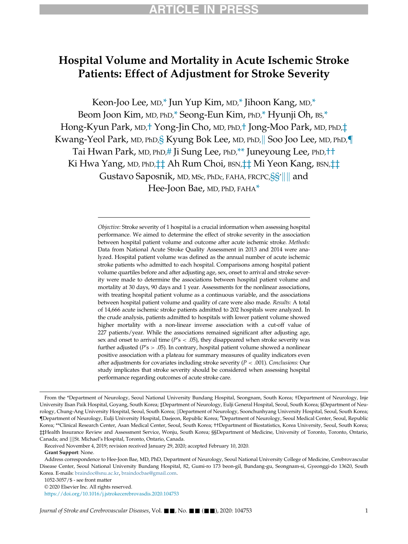# Hospital Volume and Mortality in Acute Ischemic Stroke Patients: Effect of Adjustment for Stroke Severity

Keon-Joo Lee, MD,[\\*](#page-0-0) Jun Yup Kim, MD[,\\*](#page-0-0) Jihoon Kang, MD,\* Beom Joon Kim, MD, PhD[,\\*](#page-0-0) Seong-Eun Kim, PhD[,\\*](#page-0-0) Hyunji Oh, BS,[\\*](#page-0-0) Hong-Kyun Park, MD,[†](#page-0-0) Yong-Jin Cho, MD, PhD,[†](#page-0-0) Jong-Moo Park, MD, PhD,[‡](#page-0-0) Kwang-Yeol Par[k](#page-0-0), MD, PhD, SKyung Bok Lee, MD, PhD, Soo Joo Lee, MD, PhD, Tai Hwan Park, MD, PhD,[#](#page-0-0) Ji Sung Lee, PhD,[\\*\\*](#page-0-0) Juneyoung Lee, PhD,[††](#page-0-0) Ki Hwa Yang, MD, PhD, <sup>†</sup> Ah Rum Choi, BSN, † 1 Mi Yeon Kang, BSN, † 1  $\mathsf{Gustavo}\ \mathsf{Saposnik}$ , MD, MSc, PhDc, FAHA, FRCPC, $\S \S'$ || || and Hee-Joon Bae, MD, PhD, FAHA[\\*](#page-0-0)

> <span id="page-0-0"></span>Objective: Stroke severity of 1 hospital is a crucial information when assessing hospital performance. We aimed to determine the effect of stroke severity in the association between hospital patient volume and outcome after acute ischemic stroke. Methods: Data from National Acute Stroke Quality Assessment in 2013 and 2014 were analyzed. Hospital patient volume was defined as the annual number of acute ischemic stroke patients who admitted to each hospital. Comparisons among hospital patient volume quartiles before and after adjusting age, sex, onset to arrival and stroke severity were made to determine the associations between hospital patient volume and mortality at 30 days, 90 days and 1 year. Assessments for the nonlinear associations, with treating hospital patient volume as a continuous variable, and the associations between hospital patient volume and quality of care were also made. Results: A total of 14,666 acute ischemic stroke patients admitted to 202 hospitals were analyzed. In the crude analysis, patients admitted to hospitals with lower patient volume showed higher mortality with a non-linear inverse association with a cut-off value of 227 patients/year. While the associations remained significant after adjusting age, sex and onset to arrival time ( $P's < .05$ ), they disappeared when stroke severity was further adjusted ( $P's > .05$ ). In contrary, hospital patient volume showed a nonlinear positive association with a plateau for summary measures of quality indicators even after adjustments for covariates including stroke severity ( $P < .001$ ). Conclusions: Our study implicates that stroke severity should be considered when assessing hospital performance regarding outcomes of acute stroke care.

From the \*Department of Neurology, Seoul National University Bundang Hospital, Seongnam, South Korea; †Department of Neurology, Inje University Ilsan Paik Hospital, Goyang, South Korea; ‡Department of Neurology, Eulji General Hospital, Seoul, South Korea; §Department of Neurology, Chung-Ang University Hospital, Seoul, South Korea; ||Department of Neurology, Soonchunhyang University Hospital, Seoul, South Korea; {Department of Neurology, Eulji University Hospital, Daejeon, Republic Korea; # Department of Neurology, Seoul Medical Center, Seoul, Republic Korea; \*\*Clinical Research Center, Asan Medical Center, Seoul, South Korea; ††Department of Biostatistics, Korea University, Seoul, South Korea; ‡‡Health Insurance Review and Assessment Service, Wonju, South Korea; §§Department of Medicine, University of Toronto, Toronto, Ontario, Canada; and ||||St. Michael's Hospital, Toronto, Ontario, Canada.

Received November 4, 2019; revision received January 29, 2020; accepted February 10, 2020.

Grant Support: None.

Address correspondence to Hee-Joon Bae, MD, PhD, Department of Neurology, Seoul National University College of Medicine, Cerebrovascular Disease Center, Seoul National University Bundang Hospital, 82, Gumi-ro 173 beon-gil, Bundang-gu, Seongnam-si, Gyeonggi-do 13620, South Korea. E-mails: [braindoc@snu.ac.kr](mailto:braindoc@snu.ac.kr), [braindocbae@gmail.com](mailto:braindocbae@gmail.com).

<sup>1052-3057/\$ -</sup> see front matter

<sup>© 2020</sup> Elsevier Inc. All rights reserved.

<https://doi.org/10.1016/j.jstrokecerebrovasdis.2020.104753>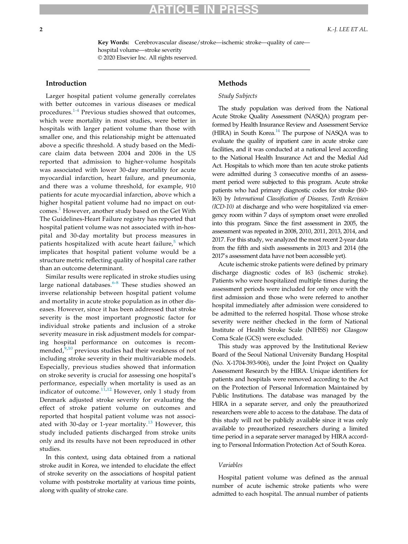Key Words: Cerebrovascular disease/stroke—ischemic stroke—quality of care hospital volume—stroke severity © 2020 Elsevier Inc. All rights reserved.

# Introduction

Larger hospital patient volume generally correlates with better outcomes in various diseases or medical procedures.[1-4](#page-7-0) Previous studies showed that outcomes, which were mortality in most studies, were better in hospitals with larger patient volume than those with smaller one, and this relationship might be attenuated above a specific threshold. A study based on the Medicare claim data between 2004 and 2006 in the US reported that admission to higher-volume hospitals was associated with lower 30-day mortality for acute myocardial infarction, heart failure, and pneumonia, and there was a volume threshold, for example, 910 patients for acute myocardial infarction, above which a higher hospital patient volume had no impact on out-comes.<sup>[1](#page-7-0)</sup> However, another study based on the Get With The Guidelines-Heart Failure registry has reported that hospital patient volume was not associated with in-hospital and 30-day mortality but process measures in patients hospitalized with acute heart failure, $5$  which implicates that hospital patient volume would be a structure metric reflecting quality of hospital care rather than an outcome determinant.

Similar results were replicated in stroke studies using large national databases. $6-8$  These studies showed an inverse relationship between hospital patient volume and mortality in acute stroke population as in other diseases. However, since it has been addressed that stroke severity is the most important prognostic factor for individual stroke patients and inclusion of a stroke severity measure in risk adjustment models for comparing hospital performance on outcomes is recommended, $9,10$  $9,10$  $9,10$  previous studies had their weakness of not including stroke severity in their multivariable models. Especially, previous studies showed that information on stroke severity is crucial for assessing one hospital's performance, especially when mortality is used as an indicator of outcome. $11,12$  $11,12$  However, only 1 study from Denmark adjusted stroke severity for evaluating the effect of stroke patient volume on outcomes and reported that hospital patient volume was not associ-ated with 30-day or 1-year mortality.<sup>[13](#page-8-5)</sup> However, this study included patients discharged from stroke units only and its results have not been reproduced in other studies.

In this context, using data obtained from a national stroke audit in Korea, we intended to elucidate the effect of stroke severity on the associations of hospital patient volume with poststroke mortality at various time points, along with quality of stroke care.

# Methods

#### Study Subjects

The study population was derived from the National Acute Stroke Quality Assessment (NASQA) program performed by Health Insurance Review and Assessment Service (HIRA) in South Korea. $14$  The purpose of NASQA was to evaluate the quality of inpatient care in acute stroke care facilities, and it was conducted at a national level according to the National Health Insurance Act and the Medial Aid Act. Hospitals to which more than ten acute stroke patients were admitted during 3 consecutive months of an assessment period were subjected to this program. Acute stroke patients who had primary diagnostic codes for stroke (I60- I63) by International Classification of Diseases, Tenth Revision (ICD-10) at discharge and who were hospitalized via emergency room within 7 days of symptom onset were enrolled into this program. Since the first assessment in 2005, the assessment was repeated in 2008, 2010, 2011, 2013, 2014, and 2017. For this study, we analyzed the most recent 2-year data from the fifth and sixth assessments in 2013 and 2014 (the 2017's assessment data have not been accessible yet).

Acute ischemic stroke patients were defined by primary discharge diagnostic codes of I63 (ischemic stroke). Patients who were hospitalized multiple times during the assessment periods were included for only once with the first admission and those who were referred to another hospital immediately after admission were considered to be admitted to the referred hospital. Those whose stroke severity were neither checked in the form of National Institute of Health Stroke Scale (NIHSS) nor Glasgow Coma Scale (GCS) were excluded.

This study was approved by the Institutional Review Board of the Seoul National University Bundang Hospital (No. X-1704-393-906), under the Joint Project on Quality Assessment Research by the HIRA. Unique identifiers for patients and hospitals were removed according to the Act on the Protection of Personal Information Maintained by Public Institutions. The database was managed by the HIRA in a separate server, and only the preauthorized researchers were able to access to the database. The data of this study will not be publicly available since it was only available to preauthorized researchers during a limited time period in a separate server managed by HIRA according to Personal Information Protection Act of South Korea.

#### Variables

Hospital patient volume was defined as the annual number of acute ischemic stroke patients who were admitted to each hospital. The annual number of patients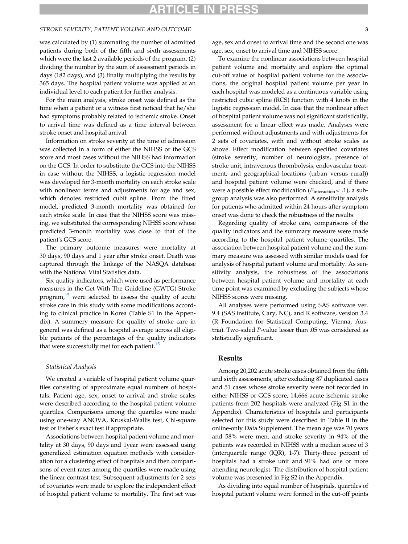## STROKE SEVERITY, PATIENT VOLUME AND OUTCOME 33

was calculated by (1) summating the number of admitted patients during both of the fifth and sixth assessments which were the last 2 available periods of the program, (2) dividing the number by the sum of assessment periods in days (182 days), and (3) finally multiplying the results by 365 days. The hospital patient volume was applied at an individual level to each patient for further analysis.

For the main analysis, stroke onset was defined as the time when a patient or a witness first noticed that he/she had symptoms probably related to ischemic stroke. Onset to arrival time was defined as a time interval between stroke onset and hospital arrival.

Information on stroke severity at the time of admission was collected in a form of either the NIHSS or the GCS score and most cases without the NIHSS had information on the GCS. In order to substitute the GCS into the NIHSS in case without the NIHSS, a logistic regression model was developed for 3-month mortality on each stroke scale with nonlinear terms and adjustments for age and sex, which denotes restricted cubit spline. From the fitted model, predicted 3-month mortality was obtained for each stroke scale. In case that the NIHSS score was missing, we substituted the corresponding NIHSS score whose predicted 3-month mortality was close to that of the patient's GCS score.

The primary outcome measures were mortality at 30 days, 90 days and 1 year after stroke onset. Death was captured through the linkage of the NASQA database with the National Vital Statistics data.

Six quality indicators, which were used as performance measures in the Get With The Guideline (GWTG)-Stroke program, $15$  were selected to assess the quality of acute stroke care in this study with some modifications according to clinical practice in Korea (Table S1 in the Appendix). A summery measure for quality of stroke care in general was defined as a hospital average across all eligible patients of the percentages of the quality indicators that were successfully met for each patient.<sup>[15](#page-8-7)</sup>

#### Statistical Analysis

We created a variable of hospital patient volume quartiles consisting of approximate equal numbers of hospitals. Patient age, sex, onset to arrival and stroke scales were described according to the hospital patient volume quartiles. Comparisons among the quartiles were made using one-way ANOVA, Kruskal-Wallis test, Chi-square test or Fisher's exact test if appropriate.

Associations between hospital patient volume and mortality at 30 days, 90 days and 1year were assessed using generalized estimation equation methods with consideration for a clustering effect of hospitals and then comparisons of event rates among the quartiles were made using the linear contrast test. Subsequent adjustments for 2 sets of covariates were made to explore the independent effect of hospital patient volume to mortality. The first set was age, sex and onset to arrival time and the second one was age, sex, onset to arrival time and NIHSS score.

To examine the nonlinear associations between hospital patient volume and mortality and explore the optimal cut-off value of hospital patient volume for the associations, the original hospital patient volume per year in each hospital was modeled as a continuous variable using restricted cubic spline (RCS) function with 4 knots in the logistic regression model. In case that the nonlinear effect of hospital patient volume was not significant statistically, assessment for a linear effect was made. Analyses were performed without adjustments and with adjustments for 2 sets of covariates, with and without stroke scales as above. Effect modification between specified covariates (stroke severity, number of neurologists, presence of stroke unit, intravenous thrombolysis, endovascular treatment, and geographical locations (urban versus rural)) and hospital patient volume were checked, and if there were a possible effect modification ( $P_{\text{interaction}}$  < .1), a subgroup analysis was also performed. A sensitivity analysis for patients who admitted within 24 hours after symptom onset was done to check the robustness of the results.

Regarding quality of stroke care, comparisons of the quality indicators and the summary measure were made according to the hospital patient volume quartiles. The association between hospital patient volume and the summary measure was assessed with similar models used for analysis of hospital patient volume and mortality. As sensitivity analysis, the robustness of the associations between hospital patient volume and mortality at each time point was examined by excluding the subjects whose NIHSS scores were missing.

All analyses were performed using SAS software ver. 9.4 (SAS institute, Cary, NC), and R software, version 3.4 (R Foundation for Statistical Computing, Vienna, Austria). Two-sided P-value lesser than .05 was considered as statistically significant.

## Results

Among 20,202 acute stroke cases obtained from the fifth and sixth assessments, after excluding 87 duplicated cases and 51 cases whose stroke severity were not recorded in either NIHSS or GCS score, 14,666 acute ischemic stroke patients from 202 hospitals were analyzed (Fig S1 in the Appendix). Characteristics of hospitals and participants selected for this study were described in Table II in the online-only Data Supplement. The mean age was 70 years and 58% were men, and stroke severity in 94% of the patients was recorded in NIHSS with a median score of 3 (interquartile range (IQR), 1-7). Thirty-three percent of hospitals had a stroke unit and 91% had one or more attending neurologist. The distribution of hospital patient volume was presented in Fig S2 in the Appendix.

As dividing into equal number of hospitals, quartiles of hospital patient volume were formed in the cut-off points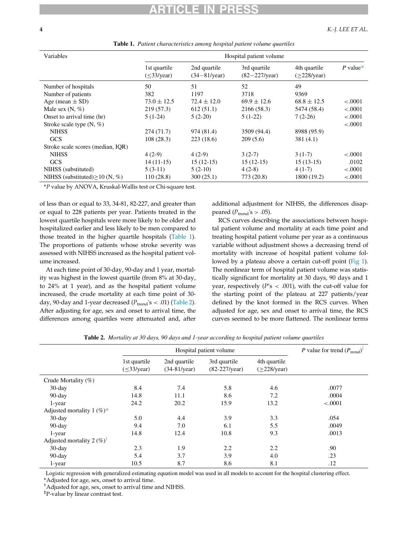<span id="page-3-0"></span>

| Variables                           |                             |                                         | Hospital patient volume                  |                                       |            |
|-------------------------------------|-----------------------------|-----------------------------------------|------------------------------------------|---------------------------------------|------------|
|                                     | 1st quartile<br>$(33/year)$ | 2nd quartile<br>$(34 - 81/\text{year})$ | 3rd quartile<br>$(82 - 227/\text{year})$ | 4th quartile<br>$(>=228/\text{year})$ | $P$ value* |
| Number of hospitals                 | 50                          | 51                                      | 52                                       | 49                                    |            |
| Number of patients                  | 382                         | 1197                                    | 3718                                     | 9369                                  |            |
| Age (mean $\pm$ SD)                 | $73.0 \pm 12.5$             | $72.4 \pm 12.0$                         | $69.9 \pm 12.6$                          | $68.8 \pm 12.5$                       | < .0001    |
| Male sex $(N, \%)$                  | 219(57.3)                   | 612(51.1)                               | 2166 (58.3)                              | 5474 (58.4)                           | < .0001    |
| Onset to arrival time (hr)          | $5(1-24)$                   | $5(2-20)$                               | $5(1-22)$                                | $7(2-26)$                             | < .0001    |
| Stroke scale type $(N, \%)$         |                             |                                         |                                          |                                       | < .0001    |
| <b>NIHSS</b>                        | 274(71.7)                   | 974 (81.4)                              | 3509 (94.4)                              | 8988 (95.9)                           |            |
| <b>GCS</b>                          | 108(28.3)                   | 223(18.6)                               | 209(5.6)                                 | 381(4.1)                              |            |
| Stroke scale scores (median, IQR)   |                             |                                         |                                          |                                       |            |
| <b>NIHSS</b>                        | $4(2-9)$                    | $4(2-9)$                                | $3(2-7)$                                 | $3(1-7)$                              | < .0001    |
| <b>GCS</b>                          | $14(11-15)$                 | $15(12-15)$                             | $15(12-15)$                              | $15(13-15)$                           | .0102      |
| NIHSS (substituted)                 | $5(3-11)$                   | $5(2-10)$                               | $4(2-8)$                                 | $4(1-7)$                              | < .0001    |
| NIHSS (substituted) > 10 (N, $\%$ ) | 110(28.8)                   | 300(25.1)                               | 773 (20.8)                               | 1800 (19.2)                           | $-.0001$   |

Table 1. Patient characteristics among hospital patient volume quartiles

<span id="page-3-2"></span>\*P value by ANOVA, Kruskal-Wallis test or Chi-square test.

of less than or equal to 33, 34-81, 82-227, and greater than or equal to 228 patients per year. Patients treated in the lowest quartile hospitals were more likely to be older and hospitalized earlier and less likely to be men compared to those treated in the higher quartile hospitals ([Table 1\)](#page-3-0). The proportions of patients whose stroke severity was assessed with NIHSS increased as the hospital patient volume increased.

At each time point of 30-day, 90-day and 1 year, mortality was highest in the lowest quartile (from 8% at 30-day, to 24% at 1 year), and as the hospital patient volume increased, the crude mortality at each time point of 30 day, 90-day and 1-year decreased ( $P<sub>trend</sub>'s < .01$ ) ([Table 2\)](#page-3-1). After adjusting for age, sex and onset to arrival time, the differences among quartiles were attenuated and, after additional adjustment for NIHSS, the differences disappeared ( $P_{\text{trend}}$ 's > .05).

RCS curves describing the associations between hospital patient volume and mortality at each time point and treating hospital patient volume per year as a continuous variable without adjustment shows a decreasing trend of mortality with increase of hospital patient volume fol-lowed by a plateau above a certain cut-off point ([Fig 1\)](#page-4-0). The nonlinear term of hospital patient volume was statistically significant for mortality at 30 days, 90 days and 1 year, respectively ( $P's < .001$ ), with the cut-off value for the starting point of the plateau at 227 patients/year defined by the knot formed in the RCS curves. When adjusted for age, sex and onset to arrival time, the RCS curves seemed to be more flattened. The nonlinear terms

<span id="page-3-1"></span>

|                                       |                             | P value for trend $(P_{\text{trend}})^{\ddagger}$ |                                        |                                       |          |
|---------------------------------------|-----------------------------|---------------------------------------------------|----------------------------------------|---------------------------------------|----------|
|                                       | 1st quartile<br>$(33/year)$ | 2nd quartile<br>$(34-81/\text{year})$             | 3rd quartile<br>$(82-227/\text{year})$ | 4th quartile<br>$(>=228/\text{year})$ |          |
| Crude Mortality $(\%)$                |                             |                                                   |                                        |                                       |          |
| $30$ -day                             | 8.4                         | 7.4                                               | 5.8                                    | 4.6                                   | .0077    |
| $90$ -day                             | 14.8                        | 11.1                                              | 8.6                                    | 7.2                                   | .0004    |
| 1-year                                | 24.2                        | 20.2                                              | 15.9                                   | 13.2                                  | $-.0001$ |
| Adjusted mortality 1 $(\%)^*$         |                             |                                                   |                                        |                                       |          |
| $30$ -day                             | 5.0                         | 4.4                                               | 3.9                                    | 3.3                                   | .054     |
| $90$ -day                             | 9.4                         | 7.0                                               | 6.1                                    | 5.5                                   | .0049    |
| 1-year                                | 14.8                        | 12.4                                              | 10.8                                   | 9.3                                   | .0013    |
| Adjusted mortality 2 $(\%)^{\dagger}$ |                             |                                                   |                                        |                                       |          |
| $30$ -day                             | 2.3                         | 1.9                                               | 2.2                                    | 2.2                                   | .90      |
| $90$ -day                             | 5.4                         | 3.7                                               | 3.9                                    | 4.0                                   | .23      |
| 1-year                                | 10.5                        | 8.7                                               | 8.6                                    | 8.1                                   | .12      |

Table 2. Mortality at 30 days, 90 days and 1-year according to hospital patient volume quartiles

Logistic regression with generalized estimating equation model was used in all models to account for the hospital clustering effect.

<span id="page-3-4"></span><span id="page-3-3"></span>\*Adjusted for age, sex, onset to arrival time.

† Adjusted for age, sex, onset to arrival time and NIHSS.

‡ P-value by linear contrast test.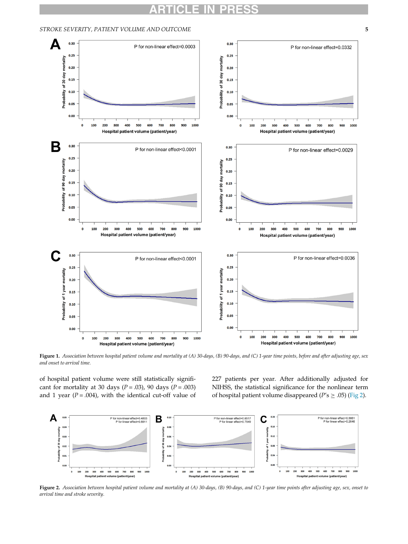

#### <span id="page-4-0"></span>STROKE SEVERITY, PATIENT VOLUME AND OUTCOME 5

Figure 1. Association between hospital patient volume and mortality at (A) 30-days, (B) 90-days, and (C) 1-year time points, before and after adjusting age, sex and onset to arrival time.

of hospital patient volume were still statistically significant for mortality at 30 days ( $P = .03$ ), 90 days ( $P = .003$ ) and 1 year ( $P = .004$ ), with the identical cut-off value of 227 patients per year. After additionally adjusted for NIHSS, the statistical significance for the nonlinear term of hospital patient volume disappeared ( $P's \ge .05$ ) [\(Fig 2](#page-4-1)).

<span id="page-4-1"></span>

Figure 2. Association between hospital patient volume and mortality at (A) 30-days, (B) 90-days, and (C) 1-year time points after adjusting age, sex, onset to arrival time and stroke severity.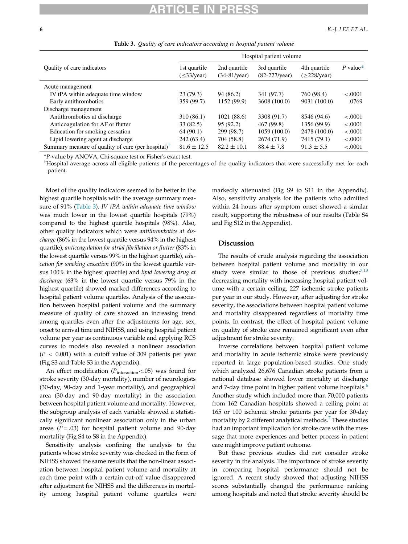<span id="page-5-0"></span>

|                                                                                   | Hospital patient volume     |                                       |                                        |                                   |            |  |  |
|-----------------------------------------------------------------------------------|-----------------------------|---------------------------------------|----------------------------------------|-----------------------------------|------------|--|--|
| Quality of care indicators                                                        | 1st quartile<br>$(33/year)$ | 2nd quartile<br>$(34-81/\text{year})$ | 3rd quartile<br>$(82-227/\text{year})$ | 4th quartile<br>$($ >228/year $)$ | $P$ value* |  |  |
| Acute management                                                                  |                             |                                       |                                        |                                   |            |  |  |
| IV tPA within adequate time window                                                | 23(79.3)                    | 94 (86.2)                             | 341 (97.7)                             | 760 (98.4)                        | $-.0001$   |  |  |
| Early antithrombotics                                                             | 359 (99.7)                  | 1152 (99.9)                           | 3608 (100.0)                           | 9031 (100.0)                      | .0769      |  |  |
| Discharge management                                                              |                             |                                       |                                        |                                   |            |  |  |
| Antithrombotics at discharge                                                      | 310 (86.1)                  | 1021(88.6)                            | 3308 (91.7)                            | 8546 (94.6)                       | $-.0001$   |  |  |
| Anticoagulation for AF or flutter                                                 | 33(82.5)                    | 95 (92.2)                             | 467 (99.8)                             | 1356 (99.9)                       | $-.0001$   |  |  |
| Education for smoking cessation                                                   | 64(90.1)                    | 299 (98.7)                            | 1059(100.0)                            | 2478 (100.0)                      | $-.0001$   |  |  |
| Lipid lowering agent at discharge                                                 | 242(63.4)                   | 704 (58.8)                            | 2674 (71.9)                            | 7415 (79.1)                       | $-.0001$   |  |  |
| Summary measure of quality of care (per hospital) <sup><math>\bar{ }</math></sup> | $81.6 \pm 12.5$             | $82.2 \pm 10.1$                       | $88.4 \pm 7.8$                         | $91.3 \pm 5.5$                    | $-.0001$   |  |  |

Table 3. Quality of care indicators according to hospital patient volume

<span id="page-5-1"></span>\*P-value by ANOVA, Chi-square test or Fisher's exact test. †

Hospital average across all eligible patients of the percentages of the quality indicators that were successfully met for each patient.

Most of the quality indicators seemed to be better in the highest quartile hospitals with the average summary mea-sure of 91% ([Table 3](#page-5-0)). IV tPA within adequate time window was much lower in the lowest quartile hospitals (79%) compared to the highest quartile hospitals (98%). Also, other quality indicators which were antithrombotics at discharge (86% in the lowest quartile versus 94% in the highest quartile), anticoagulation for atrial fibrillation or flutter (83% in the lowest quartile versus 99% in the highest quartile), education for smoking cessation (90% in the lowest quartile versus 100% in the highest quartile) and lipid lowering drug at discharge (63% in the lowest quartile versus 79% in the highest quartile) showed marked differences according to hospital patient volume quartiles. Analysis of the association between hospital patient volume and the summary measure of quality of care showed an increasing trend among quartiles even after the adjustments for age, sex, onset to arrival time and NIHSS, and using hospital patient volume per year as continuous variable and applying RCS curves to models also revealed a nonlinear association  $(P < 0.001)$  with a cutoff value of 309 patients per year (Fig S3 and Table S3 in the Appendix).

An effect modification ( $P_{interaction}$  <.05) was found for stroke severity (30-day mortality), number of neurologists (30-day, 90-day and 1-year mortality), and geographical area (30-day and 90-day mortality) in the association between hospital patient volume and mortality. However, the subgroup analysis of each variable showed a statistically significant nonlinear association only in the urban areas ( $P = .03$ ) for hospital patient volume and 90-day mortality (Fig S4 to S8 in the Appendix).

Sensitivity analysis confining the analysis to the patients whose stroke severity was checked in the form of NIHSS showed the same results that the non-linear association between hospital patient volume and mortality at each time point with a certain cut-off value disappeared after adjustment for NIHSS and the differences in mortality among hospital patient volume quartiles were markedly attenuated (Fig S9 to S11 in the Appendix). Also, sensitivity analysis for the patients who admitted within 24 hours after symptom onset showed a similar result, supporting the robustness of our results (Table S4 and Fig S12 in the Appendix).

## Discussion

The results of crude analysis regarding the association between hospital patient volume and mortality in our study were similar to those of previous studies; $7,13$  $7,13$ decreasing mortality with increasing hospital patient volume with a certain ceiling, 227 ischemic stroke patients per year in our study. However, after adjusting for stroke severity, the associations between hospital patient volume and mortality disappeared regardless of mortality time points. In contrast, the effect of hospital patient volume on quality of stroke care remained significant even after adjustment for stroke severity.

Inverse correlations between hospital patient volume and mortality in acute ischemic stroke were previously reported in large population-based studies. One study which analyzed 26,676 Canadian stroke patients from a national database showed lower mortality at discharge and 7-day time point in higher patient volume hospitals.<sup>[6](#page-8-0)</sup> Another study which included more than 70,000 patients from 162 Canadian hospitals showed a ceiling point at 165 or 100 ischemic stroke patients per year for 30-day mortality by 2 different analytical methods.<sup>[7](#page-8-8)</sup> These studies had an important implication for stroke care with the message that more experiences and better process in patient care might improve patient outcome.

But these previous studies did not consider stroke severity in the analysis. The importance of stroke severity in comparing hospital performance should not be ignored. A recent study showed that adjusting NIHSS scores substantially changed the performance ranking among hospitals and noted that stroke severity should be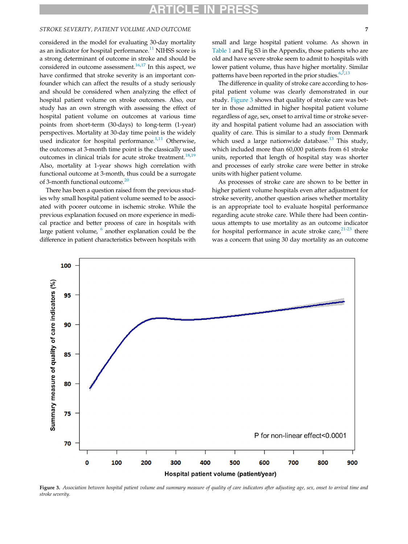# STROKE SEVERITY, PATIENT VOLUME AND OUTCOME 7

considered in the model for evaluating 30-day mortality as an indicator for hospital performance.<sup>[11](#page-8-3)</sup> NIHSS score is a strong determinant of outcome in stroke and should be considered in outcome assessment. $16,17$  $16,17$  In this aspect, we have confirmed that stroke severity is an important confounder which can affect the results of a study seriously and should be considered when analyzing the effect of hospital patient volume on stroke outcomes. Also, our study has an own strength with assessing the effect of hospital patient volume on outcomes at various time points from short-term (30-days) to long-term (1-year) perspectives. Mortality at 30-day time point is the widely used indicator for hospital performance.<sup>[1,](#page-7-0)[11](#page-8-3)</sup> Otherwise, the outcomes at 3-month time point is the classically used outcomes in clinical trials for acute stroke treatment.<sup>[18](#page-8-11)[,19](#page-8-12)</sup> Also, mortality at 1-year shows high correlation with functional outcome at 3-month, thus could be a surrogate of 3-month functional outcome.<sup>[20](#page-8-13)</sup>

There has been a question raised from the previous studies why small hospital patient volume seemed to be associated with poorer outcome in ischemic stroke. While the previous explanation focused on more experience in medical practice and better process of care in hospitals with large patient volume,  $<sup>6</sup>$  $<sup>6</sup>$  $<sup>6</sup>$  another explanation could be the</sup> difference in patient characteristics between hospitals with

small and large hospital patient volume. As shown in [Table 1](#page-3-0) and Fig S3 in the Appendix, those patients who are old and have severe stroke seem to admit to hospitals with lower patient volume, thus have higher mortality. Similar patterns have been reported in the prior studies.<sup>6,[7](#page-8-8),[13](#page-8-5)</sup>

The difference in quality of stroke care according to hospital patient volume was clearly demonstrated in our study. [Figure 3](#page-6-0) shows that quality of stroke care was better in those admitted in higher hospital patient volume regardless of age, sex, onset to arrival time or stroke severity and hospital patient volume had an association with quality of care. This is similar to a study from Denmark which used a large nationwide database.<sup>[13](#page-8-5)</sup> This study, which included more than 60,000 patients from 61 stroke units, reported that length of hospital stay was shorter and processes of early stroke care were better in stroke units with higher patient volume.

As processes of stroke care are shown to be better in higher patient volume hospitals even after adjustment for stroke severity, another question arises whether mortality is an appropriate tool to evaluate hospital performance regarding acute stroke care. While there had been continuous attempts to use mortality as an outcome indicator for hospital performance in acute stroke care, $2^{1-23}$  there was a concern that using 30 day mortality as an outcome

<span id="page-6-0"></span>

Figure 3. Association between hospital patient volume and summary measure of quality of care indicators after adjusting age, sex, onset to arrival time and stroke severity.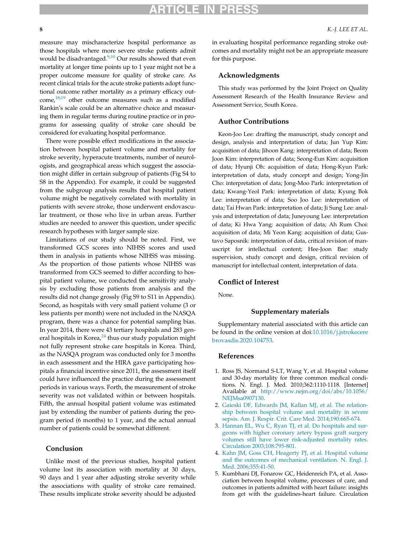measure may mischaracterize hospital performance as those hospitals where more severe stroke patients admit would be disadvantaged.<sup>9[,10](#page-8-2)</sup> Our results showed that even mortality at longer time points up to 1 year might not be a proper outcome measure for quality of stroke care. As recent clinical trials for the acute stroke patients adopt functional outcome rather mortality as a primary efficacy outcome, $18,19$  $18,19$  other outcome measures such as a modified Rankin's scale could be an alternative choice and measuring them in regular terms during routine practice or in programs for assessing quality of stroke care should be considered for evaluating hospital performance.

There were possible effect modifications in the association between hospital patient volume and mortality for stroke severity, hyperacute treatments, number of neurologists, and geographical areas which suggest the association might differ in certain subgroup of patients (Fig S4 to S8 in the Appendix). For example, it could be suggested from the subgroup analysis results that hospital patient volume might be negatively correlated with mortality in patients with severe stroke, those underwent endovascular treatment, or those who live in urban areas. Further studies are needed to answer this question, under specific research hypotheses with larger sample size.

Limitations of our study should be noted. First, we transformed GCS scores into NIHSS scores and used them in analysis in patients whose NIHSS was missing. As the proportion of those patients whose NIHSS was transformed from GCS seemed to differ according to hospital patient volume, we conducted the sensitivity analysis by excluding those patients from analysis and the results did not change grossly (Fig S9 to S11 in Appendix). Second, as hospitals with very small patient volume (3 or less patients per month) were not included in the NASQA program, there was a chance for potential sampling bias. In year 2014, there were 43 tertiary hospitals and 283 general hospitals in Korea, $^{24}$  $^{24}$  $^{24}$  thus our study population might not fully represent stroke care hospitals in Korea. Third, as the NASQA program was conducted only for 3 months in each assessment and the HIRA gave participating hospitals a financial incentive since 2011, the assessment itself could have influenced the practice during the assessment periods in various ways. Forth, the measurement of stroke severity was not validated within or between hospitals. Fifth, the annual hospital patient volume was estimated just by extending the number of patients during the program period (6 months) to 1 year, and the actual annual number of patients could be somewhat different.

### <span id="page-7-0"></span>Conclusion

<span id="page-7-1"></span>Unlike most of the previous studies, hospital patient volume lost its association with mortality at 30 days, 90 days and 1 year after adjusting stroke severity while the associations with quality of stroke care remained. These results implicate stroke severity should be adjusted

in evaluating hospital performance regarding stroke outcomes and mortality might not be an appropriate measure for this purpose.

## Acknowledgments

This study was performed by the Joint Project on Quality Assessment Research of the Health Insurance Review and Assessment Service, South Korea.

### Author Contributions

Keon-Joo Lee: drafting the manuscript, study concept and design, analysis and interpretation of data; Jun Yup Kim: acquisition of data; Jihoon Kang: interpretation of data; Beom Joon Kim: interpretation of data; Seong-Eun Kim: acquisition of data; Hyunji Oh: acquisition of data; Hong-Kyun Park: interpretation of data, study concept and design; Yong-Jin Cho: interpretation of data; Jong-Moo Park: interpretation of data; Kwang-Yeol Park: interpretation of data; Kyung Bok Lee: interpretation of data; Soo Joo Lee: interpretation of data; Tai Hwan Park: interpretation of data; Ji Sung Lee: analysis and interpretation of data; Juneyoung Lee: interpretation of data; Ki Hwa Yang: acquisition of data; Ah Rum Choi: acquisition of data; Mi Yeon Kang: acquisition of data; Gustavo Saposnik: interpretation of data, critical revision of manuscript for intellectual content; Hee-Joon Bae: study supervision, study concept and design, critical revision of manuscript for intellectual content, interpretation of data.

# Conflict of Interest

None.

#### Supplementary materials

Supplementary material associated with this article can be found in the online version at doi[:10.1016/j.jstrokecere](https://doi.org/10.1016/j.jstrokecerebrovasdis.2020.104753) [brovasdis.2020.104753](https://doi.org/10.1016/j.jstrokecerebrovasdis.2020.104753).

# References

- 1. Ross JS, Normand S-LT, Wang Y, et al. Hospital volume and 30-day mortality for three common medical conditions. N. Engl. J. Med. 2010;362:1110-1118. [Internet] Available at [http://www.nejm.org/doi/abs/10.1056/](http://www.nejm.org/doi/abs/10.1056/NEJMsa0907130) [NEJMsa0907130.](http://www.nejm.org/doi/abs/10.1056/NEJMsa0907130)
- 2. [Gaieski DF, Edwards JM, Kallan MJ, et al. The relation](http://refhub.elsevier.com/S1052-3057(20)30130-0/sbref0002)[ship between hospital volume and mortality in severe](http://refhub.elsevier.com/S1052-3057(20)30130-0/sbref0002) [sepsis. Am. J. Respir. Crit. Care Med. 2014;190:665-674.](http://refhub.elsevier.com/S1052-3057(20)30130-0/sbref0002)
- 3. [Hannan EL, Wu C, Ryan TJ, et al. Do hospitals and sur](http://refhub.elsevier.com/S1052-3057(20)30130-0/sbref0003)[geons with higher coronary artery bypass graft surgery](http://refhub.elsevier.com/S1052-3057(20)30130-0/sbref0003) [volumes still have lower risk-adjusted mortality rates.](http://refhub.elsevier.com/S1052-3057(20)30130-0/sbref0003) [Circulation 2003;108:795-801.](http://refhub.elsevier.com/S1052-3057(20)30130-0/sbref0003)
- 4. [Kahn JM, Goss CH, Heagerty PJ, et al. Hospital volume](http://refhub.elsevier.com/S1052-3057(20)30130-0/sbref0004) [and the outcomes of mechanical ventilation. N. Engl. J.](http://refhub.elsevier.com/S1052-3057(20)30130-0/sbref0004) [Med. 2006;355:41-50.](http://refhub.elsevier.com/S1052-3057(20)30130-0/sbref0004)
- 5. Kumbhani DJ, Fonarow GC, Heidenreich PA, et al. Association between hospital volume, processes of care, and outcomes in patients admitted with heart failure: insights from get with the guidelines-heart failure. Circulation